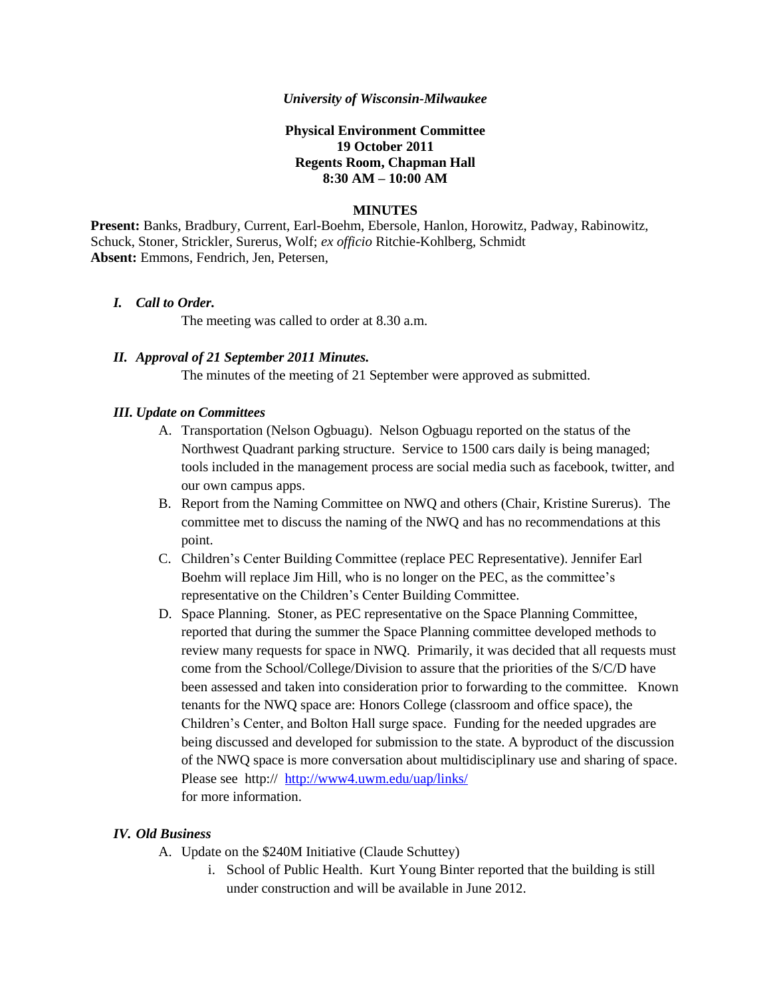### *University of Wisconsin-Milwaukee*

## **Physical Environment Committee 19 October 2011 Regents Room, Chapman Hall 8:30 AM – 10:00 AM**

#### **MINUTES**

**Present:** Banks, Bradbury, Current, Earl-Boehm, Ebersole, Hanlon, Horowitz, Padway, Rabinowitz, Schuck, Stoner, Strickler, Surerus, Wolf; *ex officio* Ritchie-Kohlberg, Schmidt **Absent:** Emmons, Fendrich, Jen, Petersen,

#### *I. Call to Order.*

The meeting was called to order at 8.30 a.m.

## *II. Approval of 21 September 2011 Minutes.*

The minutes of the meeting of 21 September were approved as submitted.

### *III. Update on Committees*

- A. Transportation (Nelson Ogbuagu). Nelson Ogbuagu reported on the status of the Northwest Quadrant parking structure. Service to 1500 cars daily is being managed; tools included in the management process are social media such as facebook, twitter, and our own campus apps.
- B. Report from the Naming Committee on NWQ and others (Chair, Kristine Surerus). The committee met to discuss the naming of the NWQ and has no recommendations at this point.
- C. Children's Center Building Committee (replace PEC Representative). Jennifer Earl Boehm will replace Jim Hill, who is no longer on the PEC, as the committee's representative on the Children's Center Building Committee.
- D. Space Planning. Stoner, as PEC representative on the Space Planning Committee, reported that during the summer the Space Planning committee developed methods to review many requests for space in NWQ. Primarily, it was decided that all requests must come from the School/College/Division to assure that the priorities of the S/C/D have been assessed and taken into consideration prior to forwarding to the committee. Known tenants for the NWQ space are: Honors College (classroom and office space), the Children's Center, and Bolton Hall surge space. Funding for the needed upgrades are being discussed and developed for submission to the state. A byproduct of the discussion of the NWQ space is more conversation about multidisciplinary use and sharing of space. Please see http:// <http://www4.uwm.edu/uap/links/> for more information.

### *IV. Old Business*

- A. Update on the \$240M Initiative (Claude Schuttey)
	- i. School of Public Health. Kurt Young Binter reported that the building is still under construction and will be available in June 2012.